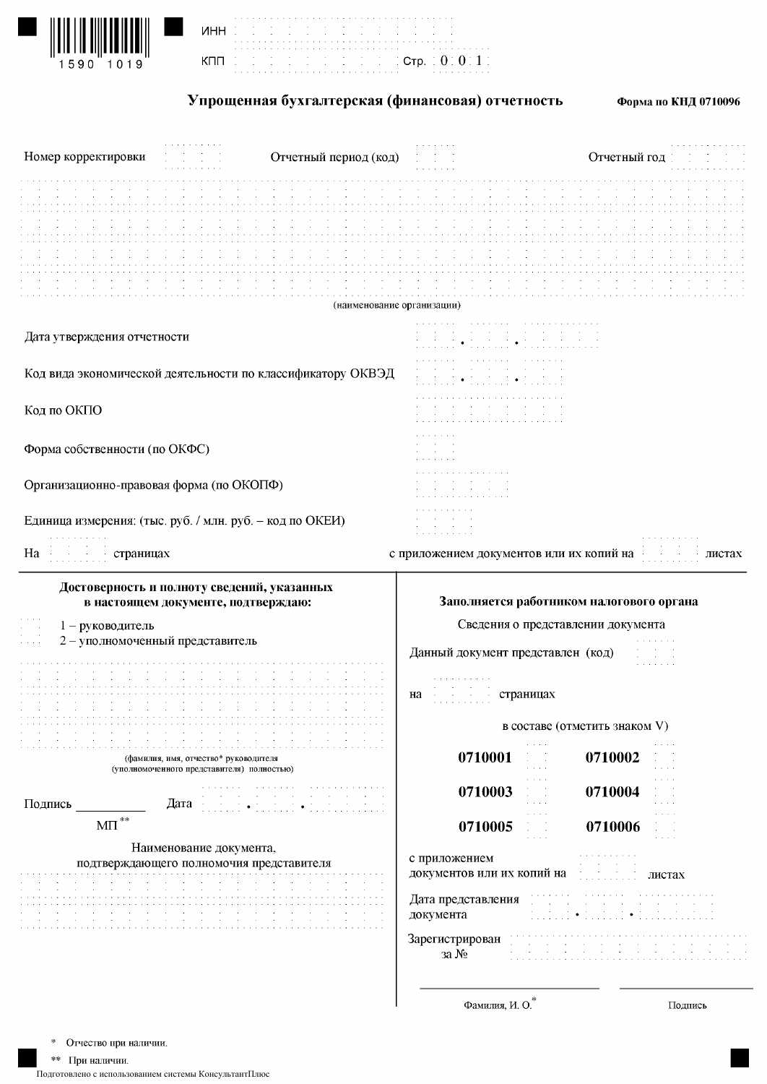

|                                                                     |  |  |  |  |  |  |  |  |  |  |  |  |  | the term of the control of the control of the control of the control of the control of<br>the contract of the contract of the contract of the contract of the contract of the |  |  |  |  |  |  |  |
|---------------------------------------------------------------------|--|--|--|--|--|--|--|--|--|--|--|--|--|-------------------------------------------------------------------------------------------------------------------------------------------------------------------------------|--|--|--|--|--|--|--|
| $\pm$ , the first state of the fig. ( $\texttt{Crp.} \pm 0.0011$ ). |  |  |  |  |  |  |  |  |  |  |  |  |  |                                                                                                                                                                               |  |  |  |  |  |  |  |

Упрощенная бухгалтерская (финансовая) отчетность

Форма по КНД 0710096

| Номер корректировки                                         |                                                                                     | Отчетный период (код)      |                                             | Отчетный год                                                                                                                                                       |
|-------------------------------------------------------------|-------------------------------------------------------------------------------------|----------------------------|---------------------------------------------|--------------------------------------------------------------------------------------------------------------------------------------------------------------------|
|                                                             |                                                                                     |                            |                                             |                                                                                                                                                                    |
|                                                             |                                                                                     |                            |                                             |                                                                                                                                                                    |
|                                                             |                                                                                     | (наименование организации) |                                             |                                                                                                                                                                    |
| Дата утверждения отчетности                                 |                                                                                     |                            | $\bullet$                                   |                                                                                                                                                                    |
| Код вида экономической деятельности по классификатору ОКВЭД |                                                                                     |                            |                                             |                                                                                                                                                                    |
| Код по ОКПО                                                 |                                                                                     |                            | the second control of the second            |                                                                                                                                                                    |
| Форма собственности (по ОКФС)                               |                                                                                     |                            |                                             |                                                                                                                                                                    |
| Организационно-правовая форма (по ОКОПФ)                    |                                                                                     |                            |                                             |                                                                                                                                                                    |
| Единица измерения: (тыс. руб. / млн. руб. - код по ОКЕИ)    |                                                                                     |                            | All Control                                 |                                                                                                                                                                    |
| Ha<br>страницах                                             |                                                                                     |                            | с приложением документов или их копий на    | листах                                                                                                                                                             |
|                                                             | Достоверность и полноту сведений, указанных<br>в настоящем документе, подтверждаю:  |                            |                                             | Заполняется работником налогового органа                                                                                                                           |
| 1 - руководитель<br>2 - уполномоченный представитель        |                                                                                     |                            | Данный документ представлен (код)           | Сведения о представлении документа                                                                                                                                 |
|                                                             |                                                                                     |                            | страницах страницах<br>на                   |                                                                                                                                                                    |
|                                                             |                                                                                     |                            |                                             | в составе (отметить знаком V)                                                                                                                                      |
|                                                             | (фамилия, имя, отчество* руководителя<br>(уполномоченного представителя) полностью) |                            | 0710001                                     | and a car<br>0710002<br>$\alpha$ , $\beta$ , $\alpha$<br>and a state<br>and a state                                                                                |
| Подпись                                                     | Дата                                                                                |                            | 0710003                                     | $\mathbf{a}=\mathbf{a}+\mathbf{a}+\mathbf{a}$<br>0710004<br>$\alpha$ and $\alpha$<br>$\sim$<br>$\alpha = \alpha = \alpha = \alpha$ .<br>and a state<br>and a state |
| $\text{MII}^{\,\ast\ast}$                                   |                                                                                     |                            | 0710005                                     | $\mathbb{C} \times \mathbb{C}$<br>0710006<br>and a state<br>$\alpha$ , $\alpha$ , $\alpha$ , $\alpha$                                                              |
|                                                             | Наименование документа,<br>подтверждающего полномочия представителя                 |                            | с приложением<br>документов или их копий на | листах                                                                                                                                                             |
|                                                             |                                                                                     |                            | Дата представления<br>документа             |                                                                                                                                                                    |
|                                                             |                                                                                     |                            | Зарегистрирован<br>за $N_2$                 |                                                                                                                                                                    |
|                                                             |                                                                                     |                            | Фамилия, И. О.                              | Подпись                                                                                                                                                            |

Отчество при наличии. \$

\*\* При наличии.

Подготовлено с использованием системы КонсультантПлюс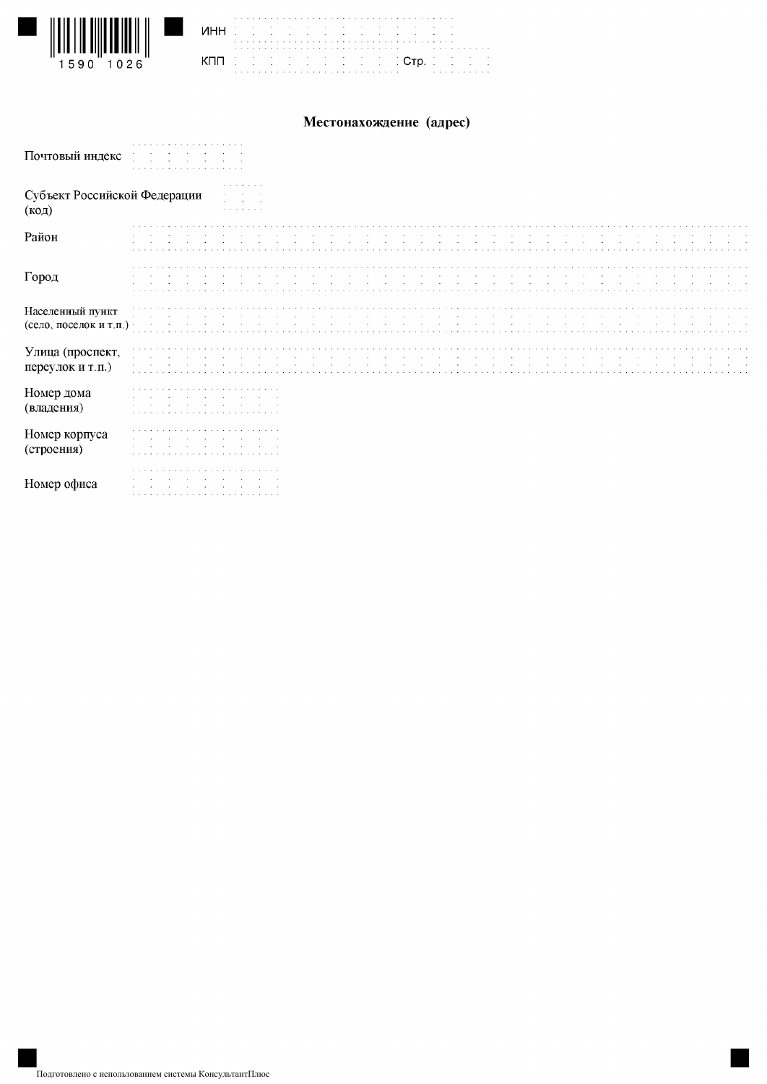

|||||||||||||||||||||||||<br>|1590 1026

Ш

 $\mathbf{I}$ 

## Местонахождение (адрес)

| Почтовый индекс                            |            |  |  |  |  |  |
|--------------------------------------------|------------|--|--|--|--|--|
| Субъект Российской Федерации<br>(код)      | . <i>.</i> |  |  |  |  |  |
| Район                                      |            |  |  |  |  |  |
| Город                                      |            |  |  |  |  |  |
| Населенный пункт<br>(село, поселок и т.п.) |            |  |  |  |  |  |
| Улица (проспект,<br>переулок и т.п.)       |            |  |  |  |  |  |
| Номер дома<br>(владения)                   |            |  |  |  |  |  |
| Номер корпуса<br>(строения)                |            |  |  |  |  |  |
| Номер офиса                                |            |  |  |  |  |  |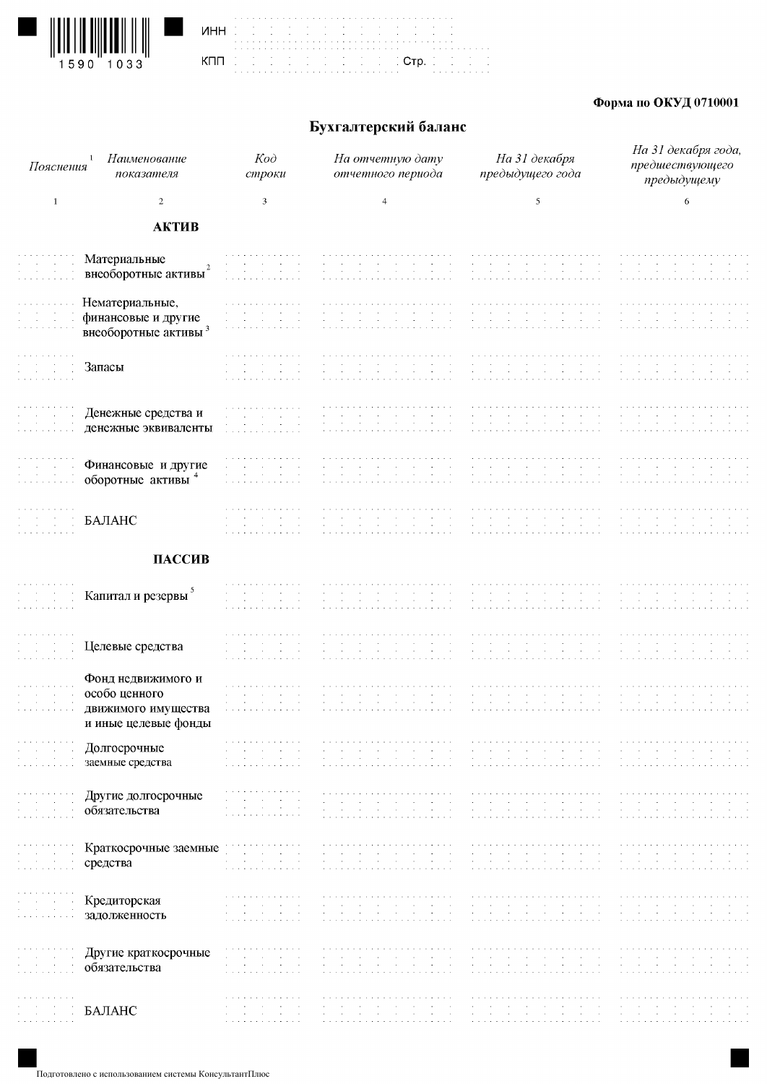





## Форма по ОКУД 0710001

# Бухгалтерский баланс

| Пояснения                                                                                | Наименование<br>показателя                              | $K$ od<br>строки                                                                                                                                                                                                                                                                                          | На отчетную дату<br>отчетного периода                                                                                                                                                                                                                                                                         | На 31 декабря<br>предыдущего года                                                                                                    | На 31 декабря года,<br>предшествующего<br>предыдущему                                                                                                                                                                                   |
|------------------------------------------------------------------------------------------|---------------------------------------------------------|-----------------------------------------------------------------------------------------------------------------------------------------------------------------------------------------------------------------------------------------------------------------------------------------------------------|---------------------------------------------------------------------------------------------------------------------------------------------------------------------------------------------------------------------------------------------------------------------------------------------------------------|--------------------------------------------------------------------------------------------------------------------------------------|-----------------------------------------------------------------------------------------------------------------------------------------------------------------------------------------------------------------------------------------|
| $\mathbf{1}$                                                                             | 2                                                       | 3                                                                                                                                                                                                                                                                                                         | $\overline{4}$                                                                                                                                                                                                                                                                                                | 5                                                                                                                                    | 6                                                                                                                                                                                                                                       |
|                                                                                          | АКТИВ                                                   |                                                                                                                                                                                                                                                                                                           |                                                                                                                                                                                                                                                                                                               |                                                                                                                                      |                                                                                                                                                                                                                                         |
|                                                                                          | Материальные                                            |                                                                                                                                                                                                                                                                                                           |                                                                                                                                                                                                                                                                                                               |                                                                                                                                      |                                                                                                                                                                                                                                         |
|                                                                                          | $\overline{2}$<br>внеоборотные активы                   |                                                                                                                                                                                                                                                                                                           |                                                                                                                                                                                                                                                                                                               |                                                                                                                                      |                                                                                                                                                                                                                                         |
|                                                                                          | Нематериальные,                                         |                                                                                                                                                                                                                                                                                                           |                                                                                                                                                                                                                                                                                                               |                                                                                                                                      |                                                                                                                                                                                                                                         |
|                                                                                          | финансовые и другие<br>внеоборотные активы <sup>3</sup> |                                                                                                                                                                                                                                                                                                           |                                                                                                                                                                                                                                                                                                               |                                                                                                                                      |                                                                                                                                                                                                                                         |
|                                                                                          |                                                         | a carried and carried and carried and                                                                                                                                                                                                                                                                     |                                                                                                                                                                                                                                                                                                               |                                                                                                                                      |                                                                                                                                                                                                                                         |
|                                                                                          | Запасы                                                  | and the second company of the second                                                                                                                                                                                                                                                                      |                                                                                                                                                                                                                                                                                                               |                                                                                                                                      |                                                                                                                                                                                                                                         |
|                                                                                          | Денежные средства и                                     | a construction of the construction of the<br>the control of the control                                                                                                                                                                                                                                   | $\sim$                                                                                                                                                                                                                                                                                                        |                                                                                                                                      |                                                                                                                                                                                                                                         |
|                                                                                          | денежные эквиваленты                                    | $\sim$<br>$\sim$ $\sim$                                                                                                                                                                                                                                                                                   |                                                                                                                                                                                                                                                                                                               |                                                                                                                                      |                                                                                                                                                                                                                                         |
|                                                                                          |                                                         |                                                                                                                                                                                                                                                                                                           |                                                                                                                                                                                                                                                                                                               |                                                                                                                                      |                                                                                                                                                                                                                                         |
|                                                                                          | Финансовые и другие<br>оборотные активы 4               | $\sim 100$<br>$\sim$<br>$\sim$<br>$\sim$<br>$\sim$ $\sim$<br>$\sim 100$<br>and the company of the company of the company of the company of the company of the company of the company of the company of the company of the company of the company of the company of the company of the company of the comp | $\sim$<br>$\sim$                                                                                                                                                                                                                                                                                              |                                                                                                                                      |                                                                                                                                                                                                                                         |
|                                                                                          |                                                         |                                                                                                                                                                                                                                                                                                           |                                                                                                                                                                                                                                                                                                               |                                                                                                                                      |                                                                                                                                                                                                                                         |
|                                                                                          | БАЛАНС                                                  |                                                                                                                                                                                                                                                                                                           |                                                                                                                                                                                                                                                                                                               |                                                                                                                                      |                                                                                                                                                                                                                                         |
|                                                                                          | ПАССИВ                                                  |                                                                                                                                                                                                                                                                                                           |                                                                                                                                                                                                                                                                                                               |                                                                                                                                      |                                                                                                                                                                                                                                         |
|                                                                                          |                                                         |                                                                                                                                                                                                                                                                                                           |                                                                                                                                                                                                                                                                                                               |                                                                                                                                      |                                                                                                                                                                                                                                         |
|                                                                                          | Капитал и резервы <sup>5</sup>                          |                                                                                                                                                                                                                                                                                                           |                                                                                                                                                                                                                                                                                                               |                                                                                                                                      |                                                                                                                                                                                                                                         |
|                                                                                          |                                                         |                                                                                                                                                                                                                                                                                                           |                                                                                                                                                                                                                                                                                                               |                                                                                                                                      |                                                                                                                                                                                                                                         |
|                                                                                          | Целевые средства                                        |                                                                                                                                                                                                                                                                                                           |                                                                                                                                                                                                                                                                                                               |                                                                                                                                      |                                                                                                                                                                                                                                         |
|                                                                                          | Фонд недвижимого и                                      | a característica de la característica                                                                                                                                                                                                                                                                     | the second contract of the second contract of the second                                                                                                                                                                                                                                                      |                                                                                                                                      |                                                                                                                                                                                                                                         |
|                                                                                          | особо ценного                                           | and the contract of the con-<br>$\sim$<br><b>Contract</b><br>$\sim 10^{-11}$<br>$\sim$                                                                                                                                                                                                                    | $\sim$ $\sim$<br>$\sim$<br><b>Contract</b><br>$\sim$                                                                                                                                                                                                                                                          | $\sim$                                                                                                                               |                                                                                                                                                                                                                                         |
| $\alpha$ , and $\alpha$ , and $\alpha$ , and $\alpha$                                    | движимого имущества<br>и иные целевые фонды             | a construction of the construction of                                                                                                                                                                                                                                                                     |                                                                                                                                                                                                                                                                                                               |                                                                                                                                      |                                                                                                                                                                                                                                         |
| <b>Contract Contract</b>                                                                 | Долгосрочные                                            | and a series of the contract of the contract<br>$\sim$<br><b>Contract</b><br><b>Contract</b><br>the common                                                                                                                                                                                                | $\sim$<br><b>Contract</b><br>$\sim 100$<br><b>Contract</b><br>$\sim$ 100 $\mu$<br><b>Contractor</b>                                                                                                                                                                                                           | $\sim$                                                                                                                               | and the company's com-<br>$\sim$<br>the company                                                                                                                                                                                         |
| و الوالي الأولي.<br>ويونونو ويونونو                                                      | заемные средства                                        | $\sim 10^{11}$ and $\sim 10^{11}$<br>$\sim 100$<br>a construction of the construction of                                                                                                                                                                                                                  | $\mathcal{A}(\mathcal{A})$ and $\mathcal{A}(\mathcal{A})$<br>$\sim 10^{-11}$<br><b>Contractor</b><br><b>Contract</b><br><b>Contract</b><br>$\sim 100$ km s $^{-1}$                                                                                                                                            | $\sim 100$<br>$\sim 10^{-1}$<br>$\sim 10^{-1}$<br>$\sim$                                                                             | $\sim$<br><b>Contractor</b>                                                                                                                                                                                                             |
|                                                                                          | Другие долгосрочные                                     | and the company of the<br>$\sim$<br>$\sim$ $\sim$                                                                                                                                                                                                                                                         | a dia analahana analahan analahan analahan<br>$\sim$<br>$\sim$                                                                                                                                                                                                                                                |                                                                                                                                      |                                                                                                                                                                                                                                         |
|                                                                                          | обязательства                                           | <b>Carl Corporation</b><br><b>Contractor</b><br>$\sim$<br>and the car and a state and a state                                                                                                                                                                                                             | $\sim$<br>$\sim 10^{-1}$<br>the company of the company<br><b>Contractor</b><br>the contract of the contract of the contract of the contract of the contract of the contract of the contract of the contract of the contract of the contract of the contract of the contract of the contract of the contract o | $\sim$ 100 $\pm$                                                                                                                     | $\sim 100$                                                                                                                                                                                                                              |
| $\sim 10^{-1}$<br>$\sim$                                                                 | Краткосрочные заемные                                   | the control of the control                                                                                                                                                                                                                                                                                | $\mathcal{A}(\mathcal{A})$ and $\mathcal{A}(\mathcal{A})$<br>$\sim 100$ km s $^{-1}$<br><b>Contract Contract</b><br>$\sim 10^{11}$ m $^{-1}$ m $^{-1}$<br>$\sim 100$ km s $^{-1}$                                                                                                                             | $\sim 10^{-1}$<br>$\sim 10^{-11}$<br>$\sim 100$<br><b>Contract</b><br>$\sim$ $\sim$<br>$\sim 10$<br>$\sim 10^{-1}$<br>$\sim$         | $\sim$                                                                                                                                                                                                                                  |
| $\sim 10^{-1}$ m $^{-1}$<br>$\alpha$ - $\alpha$ - $\alpha$<br>والمناول والمناول والمناول | средства                                                | $\mathcal{L}^{\mathcal{L}}(\mathbf{q},\mathbf{q})$ . The contribution of $\mathcal{L}^{\mathcal{L}}(\mathbf{q},\mathbf{q})$<br>$\sim$<br>and the second contract of the second                                                                                                                            | $\mathcal{A}$ is a simple subset of the set of the set of the set of $\mathcal{A}$                                                                                                                                                                                                                            | and the contract of the contract<br>and the contract of the<br>$\sim 10^{-11}$                                                       | <b>Service State</b><br><b>Contract Contract</b><br><b>Contract</b><br><b>Contract</b><br>$\sim 10^{-1}$ and $\sim 10^{-1}$                                                                                                             |
| $\sim 10^{11}$ km $^{-1}$                                                                | Кредиторская                                            | a construction of the construction of the<br>the company's company's com-<br><b>Contract Contract</b>                                                                                                                                                                                                     | and a series of the contract of the contract of the contract of the contract of the contract of the contract of<br>$\sim$<br><b>Contractor</b><br><b>Contractor</b><br>contract the contract<br><b>Contract Contract</b>                                                                                      | the contract of the contract of the contract of the con-<br><b>Section</b><br>$\sim$ 100 $\mu$<br>$\sim 10^{-11}$<br><b>Contract</b> | the company's company's<br>$\sim$                                                                                                                                                                                                       |
| and the control<br>المنافر والمنافر والمنافرات                                           | задолженность                                           | and the state of the<br>a construction of the company of the                                                                                                                                                                                                                                              | $\mathcal{A}^{\mathcal{A}}$ and $\mathcal{A}^{\mathcal{A}}$<br>$\sim$<br>$\sim 10^{-1}$<br><b>Contract</b><br>$\sim$ $\sim$<br><b>Contract</b><br>and a series and a                                                                                                                                          | $\sim 10^{-11}$<br>$\sim$<br>$\sim 100$<br>$\sim 10^{-1}$<br>and a series of<br><b>Service</b>                                       | <b>Service</b> State<br><b>Contract Contract</b><br>a company of the company of                                                                                                                                                         |
|                                                                                          | Другие краткосрочные                                    | a construction of the construction of<br>and the company's company's and                                                                                                                                                                                                                                  | a construction of the construction of the construction of the construction of<br>$\sim$<br><b>College</b><br>control of the control of                                                                                                                                                                        | <b>Section</b><br>$\sim$                                                                                                             |                                                                                                                                                                                                                                         |
|                                                                                          | обязательства                                           | $\sim 100$<br>and the contract of the<br>المتحاج والمتحاج والمتحاج والمتحا                                                                                                                                                                                                                                | $\sim$<br>$\sim 10^{-11}$<br><b>Contract</b><br>$\sim 10^{-1}$<br>the contract of the<br>decision de la capital de la capital de la capital de la capital                                                                                                                                                     | $\sim 10^{-11}$<br><b>Contract Contract</b><br>de la capital de la capital de la capital de la capital de la capital                 | $\sim$<br>design a construction of the construction of the construction of the construction of the construction of the construction of the construction of the construction of the construction of the construction of the construction |
|                                                                                          |                                                         | .                                                                                                                                                                                                                                                                                                         |                                                                                                                                                                                                                                                                                                               |                                                                                                                                      |                                                                                                                                                                                                                                         |
| and a strategic con-<br>and a series and a series                                        | БАЛАНС                                                  | $\sim 100$<br>$\sim$<br><b>Contract</b><br>a construction of the construction of                                                                                                                                                                                                                          |                                                                                                                                                                                                                                                                                                               | design a state of the control of                                                                                                     |                                                                                                                                                                                                                                         |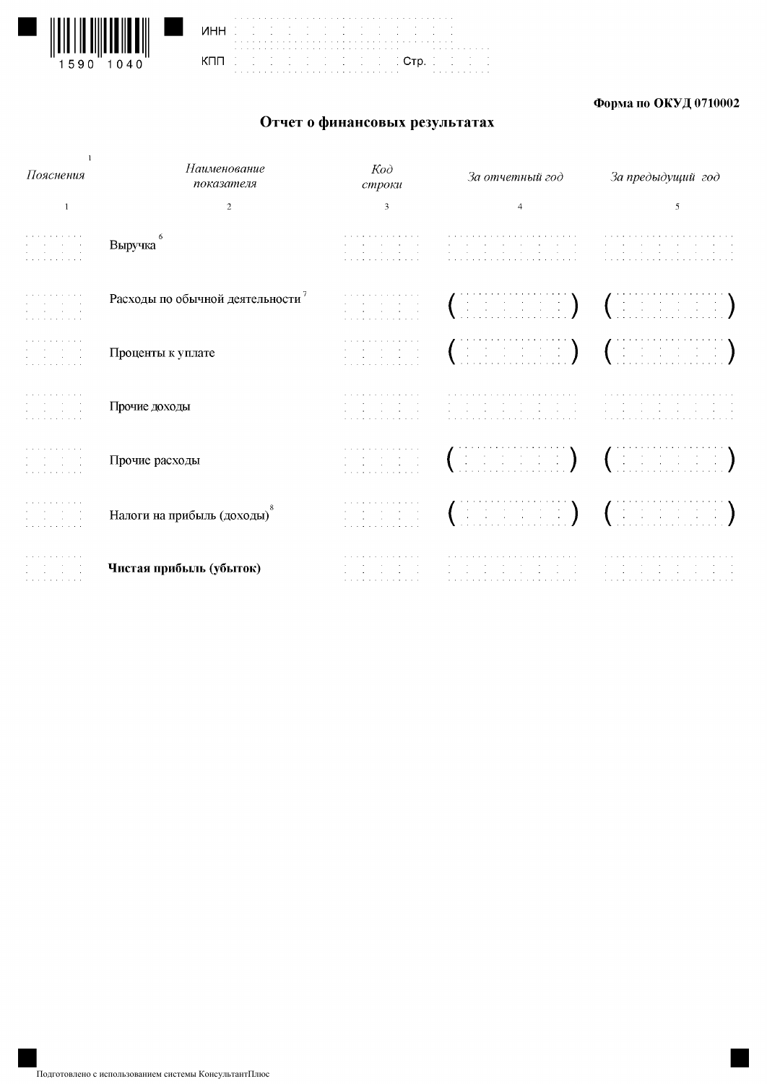



### Форма по ОКУД 0710002

# Отчет о финансовых результатах

| Пояснения                                                                                                                           | Наименование<br>показателя      | $K$ od<br>строки                                                                                                                                                               | За отчетный год                                                                                                                                                                                                                | За предыдущий год                               |
|-------------------------------------------------------------------------------------------------------------------------------------|---------------------------------|--------------------------------------------------------------------------------------------------------------------------------------------------------------------------------|--------------------------------------------------------------------------------------------------------------------------------------------------------------------------------------------------------------------------------|-------------------------------------------------|
| -1                                                                                                                                  | 2                               | 3                                                                                                                                                                              | $\overline{4}$                                                                                                                                                                                                                 | 5                                               |
| .<br>the company of the company<br>the company of the com-<br>.                                                                     | Выручка                         | .<br>the company's company's com-<br>.                                                                                                                                         | .<br>the company's company's company's<br>the second control of the second<br><b>Contract</b>                                                                                                                                  | <b>Contract Contract</b><br>the contract of the |
| and a series of the contract of<br>the company's company's com-<br>.                                                                | Расходы по обычной деятельности | a carracter and carracter and a<br>the company of the company<br>the control of the control of the<br>.                                                                        | $\left(\begin{array}{c} \vdots \end{array}\right)$ $\left(\begin{array}{c} \vdots \end{array}\right)$                                                                                                                          |                                                 |
| the contract of the contract of<br>contract to the contract of<br>and the control of the con-<br>a construction of the construction | Проценты к уплате               | والمناول والمناول والمناول والمناول والمناول<br>and the company of the company of<br>and the second control of the second<br>a construction of the construction of             | $\left(\begin{array}{cc} \vdots & \vdots & \vdots & \vdots \end{array}\right) = \left(\begin{array}{cc} \vdots & \vdots & \vdots & \vdots \end{array}\right)$                                                                  |                                                 |
| and the second control of the<br>the company's company's<br>.                                                                       | Прочие доходы                   | and the second contract of the second<br>and the state of the state of the state of<br>and the state of the state of the state of<br>a construction of the construction of the | a car a car a car a car a car a car a car a car a car a car<br>the company's company's company's<br>the contract of the con-                                                                                                   | <b>Contract Contract</b>                        |
| a construction of the construction<br>.                                                                                             | Прочие расходы                  | a construction of the construction of<br>the control of the control of<br>a construction of the construction of                                                                | $(\text{Hilb})\text{Hilb}$ $(\text{Hilb})\text{Hilb}$                                                                                                                                                                          |                                                 |
| .<br>and the contract of<br>and the contract of the<br>and the second control of the                                                | Налоги на прибыль (доходы)      | والمتعاني والمتعارف والمتعارف والمتعارف<br>and the second control of the second<br>and the company of the com-<br>a construction of the construction of the                    | $\left(\begin{array}{ccc} \cdots & \cdots & \cdots \end{array}\right)$ , $\left(\begin{array}{ccc} \cdots & \cdots & \cdots \end{array}\right)$                                                                                |                                                 |
| and the company of the com-<br>contract of the contract<br>and the company of the<br>and a series and a series                      | Чистая прибыль (убыток)         | a construction of the construction of the<br>and the state of the state of the state<br>and the state of the state of the state<br>a construction of the construction          | a construction of the contract of the construction of the construction of the construction of the construction of the construction of the construction of the construction of the construction of the construction of the cons |                                                 |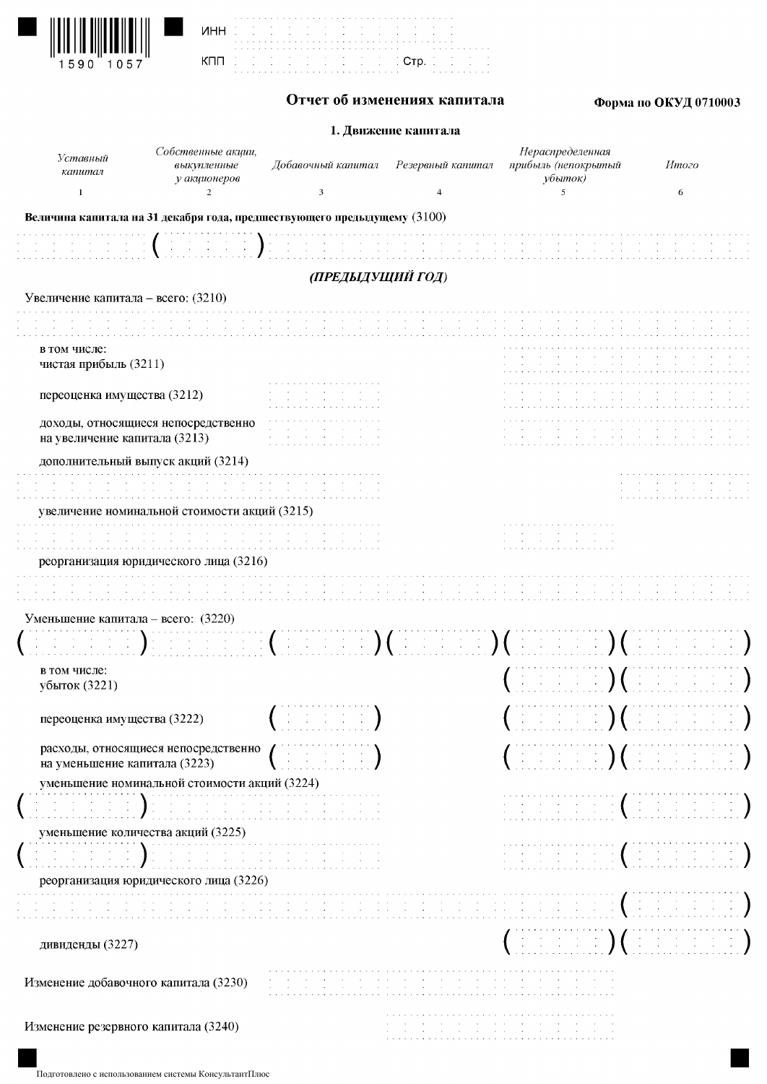| 1590 1057 |
|-----------|

|     | ï |  |   |  |  |   |
|-----|---|--|---|--|--|---|
| инн | ï |  | ï |  |  | ï |
|     | í |  | í |  |  |   |
|     |   |  |   |  |  |   |
|     |   |  |   |  |  |   |
| кпп | ė |  | ċ |  |  | ċ |
|     | ï |  | ï |  |  | ï |
|     |   |  |   |  |  |   |



a a shekarar<br>Ann  $C$ тр.

## Форма по ОКУД 0710003

#### 1. Движение капитала

| Уставный<br>капитал                                                          | Собственные акции,<br>выкупленные<br>у акционеров      | Добавочный капитал                                                                                                           | Резервный капитал | Нераспределенная<br>прибыль (непокрытый<br>убыток)                                                                                                                                                                                                                                                                                                               | Итого                                                                                                                                                                                                                                                                                                                                                                                                     |
|------------------------------------------------------------------------------|--------------------------------------------------------|------------------------------------------------------------------------------------------------------------------------------|-------------------|------------------------------------------------------------------------------------------------------------------------------------------------------------------------------------------------------------------------------------------------------------------------------------------------------------------------------------------------------------------|-----------------------------------------------------------------------------------------------------------------------------------------------------------------------------------------------------------------------------------------------------------------------------------------------------------------------------------------------------------------------------------------------------------|
| $\mathbf{1}$                                                                 | 2                                                      | 3                                                                                                                            | 4                 | 5                                                                                                                                                                                                                                                                                                                                                                | 6                                                                                                                                                                                                                                                                                                                                                                                                         |
| Величина капитала на 31 декабря года, предшествующего предыдущему (3100)     |                                                        |                                                                                                                              |                   |                                                                                                                                                                                                                                                                                                                                                                  |                                                                                                                                                                                                                                                                                                                                                                                                           |
|                                                                              | $\left( \begin{array}{c} 1 \\ 1 \end{array} \right)$ : |                                                                                                                              |                   |                                                                                                                                                                                                                                                                                                                                                                  |                                                                                                                                                                                                                                                                                                                                                                                                           |
|                                                                              |                                                        | (ПРЕДЫДУЩИЙ ГОД)                                                                                                             |                   |                                                                                                                                                                                                                                                                                                                                                                  |                                                                                                                                                                                                                                                                                                                                                                                                           |
| Увеличение капитала - всего: (3210)                                          |                                                        |                                                                                                                              |                   |                                                                                                                                                                                                                                                                                                                                                                  |                                                                                                                                                                                                                                                                                                                                                                                                           |
|                                                                              |                                                        |                                                                                                                              |                   |                                                                                                                                                                                                                                                                                                                                                                  |                                                                                                                                                                                                                                                                                                                                                                                                           |
| в том числе:<br>чистая прибыль (3211)                                        |                                                        |                                                                                                                              |                   |                                                                                                                                                                                                                                                                                                                                                                  |                                                                                                                                                                                                                                                                                                                                                                                                           |
| переоценка имущества (3212)                                                  |                                                        |                                                                                                                              |                   |                                                                                                                                                                                                                                                                                                                                                                  |                                                                                                                                                                                                                                                                                                                                                                                                           |
| доходы, относящиеся непосредственно<br>на увеличение капитала (3213)         |                                                        |                                                                                                                              |                   |                                                                                                                                                                                                                                                                                                                                                                  |                                                                                                                                                                                                                                                                                                                                                                                                           |
| дополнительный выпуск акций (3214)                                           |                                                        |                                                                                                                              |                   |                                                                                                                                                                                                                                                                                                                                                                  |                                                                                                                                                                                                                                                                                                                                                                                                           |
|                                                                              |                                                        |                                                                                                                              |                   |                                                                                                                                                                                                                                                                                                                                                                  |                                                                                                                                                                                                                                                                                                                                                                                                           |
| увеличение номинальной стоимости акций (3215)                                |                                                        |                                                                                                                              |                   |                                                                                                                                                                                                                                                                                                                                                                  |                                                                                                                                                                                                                                                                                                                                                                                                           |
|                                                                              |                                                        |                                                                                                                              |                   | $\sim$                                                                                                                                                                                                                                                                                                                                                           |                                                                                                                                                                                                                                                                                                                                                                                                           |
| реорганизация юридического лица (3216)                                       |                                                        |                                                                                                                              |                   |                                                                                                                                                                                                                                                                                                                                                                  |                                                                                                                                                                                                                                                                                                                                                                                                           |
|                                                                              |                                                        |                                                                                                                              |                   |                                                                                                                                                                                                                                                                                                                                                                  |                                                                                                                                                                                                                                                                                                                                                                                                           |
| Уменьшение капитала – всего: $(3220)$                                        |                                                        |                                                                                                                              |                   |                                                                                                                                                                                                                                                                                                                                                                  |                                                                                                                                                                                                                                                                                                                                                                                                           |
|                                                                              |                                                        | $\mathbb{R}^n \times \mathbb{R}^n$ ( ) and $\mathbb{R}^n \times \mathbb{R}^n$ ( ) ( ) and $\mathbb{R}^n \times \mathbb{R}^n$ |                   |                                                                                                                                                                                                                                                                                                                                                                  |                                                                                                                                                                                                                                                                                                                                                                                                           |
| в том числе:<br>убыток (3221)                                                |                                                        |                                                                                                                              |                   | $\mathbb{R}^n$ is a set $\mathbb{R}^n$ ( $\mathbb{R}^n$                                                                                                                                                                                                                                                                                                          |                                                                                                                                                                                                                                                                                                                                                                                                           |
| переоценка имущества (3222)                                                  |                                                        | the control of the control of<br>$\mathcal{A}(\mathcal{A})$ and $\mathcal{A}(\mathcal{A})$ and $\mathcal{A}(\mathcal{A})$    |                   | the control of the control of                                                                                                                                                                                                                                                                                                                                    | $\mathcal{A}(\mathcal{A})$ and $\mathcal{A}(\mathcal{A})$ are $\mathcal{A}(\mathcal{A})$ .                                                                                                                                                                                                                                                                                                                |
| расходы, относящиеся непосредственно<br>на уменьшение капитала (3223)        |                                                        | $\mathcal{X} \subset \mathcal{X} \subset \mathcal{X} \subset \mathcal{X}$                                                    |                   | , in the form $\big)$ ( in the form $\big)$                                                                                                                                                                                                                                                                                                                      |                                                                                                                                                                                                                                                                                                                                                                                                           |
| уменьшение номинальной стоимости акций (3224)                                |                                                        |                                                                                                                              |                   |                                                                                                                                                                                                                                                                                                                                                                  |                                                                                                                                                                                                                                                                                                                                                                                                           |
|                                                                              |                                                        | <u> Antonio Difficionale propositione de la</u>                                                                              |                   | $\begin{aligned} \mathcal{L}_{\text{max}}(\mathcal{L}_{\text{max}}) & = \mathcal{L}_{\text{max}}(\mathcal{L}_{\text{max}}) + \mathcal{L}_{\text{max}}(\mathcal{L}_{\text{max}}) \\ \mathcal{L}_{\text{max}}(\mathcal{L}_{\text{max}}) & = \mathcal{L}_{\text{max}}(\mathcal{L}_{\text{max}}) + \mathcal{L}_{\text{max}}(\mathcal{L}_{\text{max}}) \end{aligned}$ | $\left( \begin{array}{cccc} 1 & 1 & 1 & 1 & 1 & 1 \ 1 & 1 & 1 & 1 & 1 \end{array} \right)$                                                                                                                                                                                                                                                                                                                |
| уменьшение количества акций (3225)<br>реорганизация юридического лица (3226) |                                                        |                                                                                                                              |                   | $\mathcal{L}^{\text{max}}_{\text{max}}$ , $\mathcal{L}^{\text{max}}_{\text{max}}$                                                                                                                                                                                                                                                                                | $\label{eq:3.1} \begin{array}{ll} \mathcal{L}_{\mathcal{A}}^{\mathcal{A}} & \mathcal{L}_{\mathcal{A}}^{\mathcal{A}} & \mathcal{L}_{\mathcal{A}}^{\mathcal{A}} & \mathcal{L}_{\mathcal{A}}^{\mathcal{A}} \\ \mathcal{L}_{\mathcal{A}}^{\mathcal{A}} & \mathcal{L}_{\mathcal{A}}^{\mathcal{A}} & \mathcal{L}_{\mathcal{A}}^{\mathcal{A}} & \mathcal{L}_{\mathcal{A}}^{\mathcal{A}} \end{array} \end{array}$ |
|                                                                              |                                                        |                                                                                                                              |                   | and the company of the<br>and the company of                                                                                                                                                                                                                                                                                                                     |                                                                                                                                                                                                                                                                                                                                                                                                           |
|                                                                              |                                                        |                                                                                                                              |                   |                                                                                                                                                                                                                                                                                                                                                                  |                                                                                                                                                                                                                                                                                                                                                                                                           |
| дивиденды (3227)                                                             |                                                        |                                                                                                                              |                   | $\pm$ $\pm$ $\pm$ $\pm$ $\pm$ $\pm$                                                                                                                                                                                                                                                                                                                              |                                                                                                                                                                                                                                                                                                                                                                                                           |
| Изменение добавочного капитала (3230)                                        |                                                        |                                                                                                                              |                   |                                                                                                                                                                                                                                                                                                                                                                  |                                                                                                                                                                                                                                                                                                                                                                                                           |
| Изменение резервного капитала (3240)                                         |                                                        |                                                                                                                              |                   |                                                                                                                                                                                                                                                                                                                                                                  |                                                                                                                                                                                                                                                                                                                                                                                                           |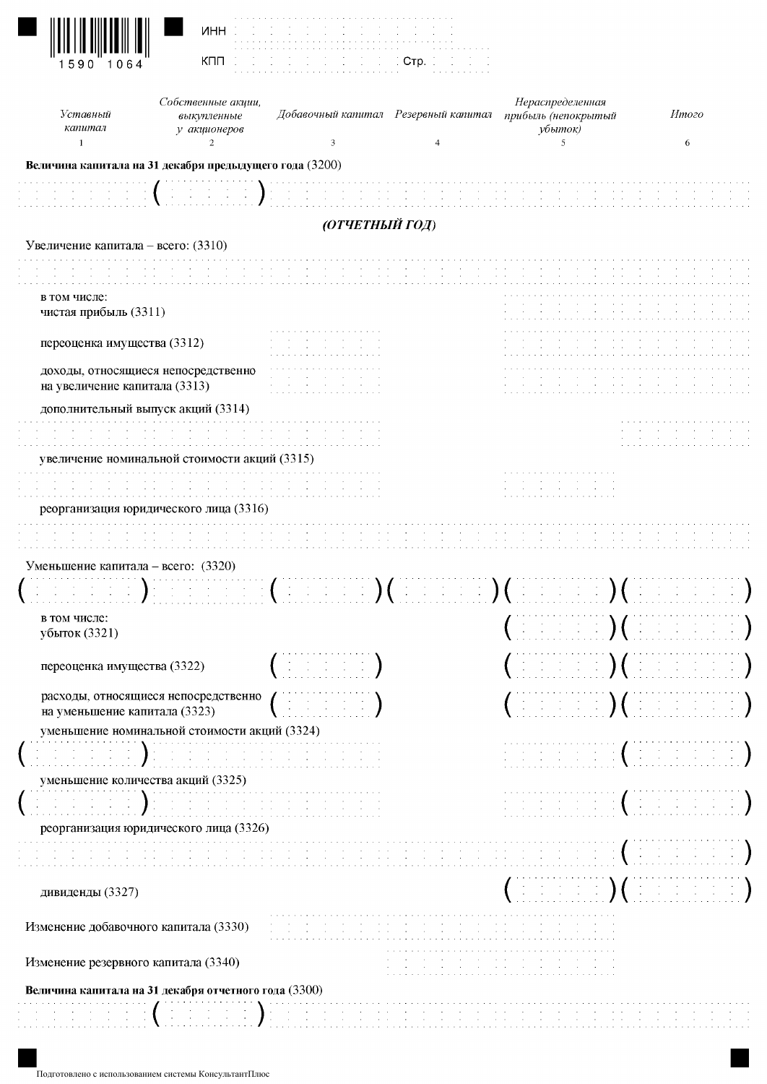| Уставный                                                                                                                                                                                                                                                                                                                                                                                                                                                                                                          | Собственные акции,<br>выкупленные | Добавочный капитал Резервный капитал                                                                                                                                                                                                                                                                                                                                                                                                                                                               | Нераспределенная<br>прибыль (непокрытый                                                                                                                                                                                                                                                                                                                                       | Итого                                                                               |
|-------------------------------------------------------------------------------------------------------------------------------------------------------------------------------------------------------------------------------------------------------------------------------------------------------------------------------------------------------------------------------------------------------------------------------------------------------------------------------------------------------------------|-----------------------------------|----------------------------------------------------------------------------------------------------------------------------------------------------------------------------------------------------------------------------------------------------------------------------------------------------------------------------------------------------------------------------------------------------------------------------------------------------------------------------------------------------|-------------------------------------------------------------------------------------------------------------------------------------------------------------------------------------------------------------------------------------------------------------------------------------------------------------------------------------------------------------------------------|-------------------------------------------------------------------------------------|
| капитал<br>$\mathbf{1}$                                                                                                                                                                                                                                                                                                                                                                                                                                                                                           | у акционеров<br>$\overline{2}$    | 3                                                                                                                                                                                                                                                                                                                                                                                                                                                                                                  | убыток)<br>5                                                                                                                                                                                                                                                                                                                                                                  | 6                                                                                   |
|                                                                                                                                                                                                                                                                                                                                                                                                                                                                                                                   |                                   |                                                                                                                                                                                                                                                                                                                                                                                                                                                                                                    |                                                                                                                                                                                                                                                                                                                                                                               |                                                                                     |
| Величина капитала на 31 декабря предыдущего года (3200)                                                                                                                                                                                                                                                                                                                                                                                                                                                           |                                   |                                                                                                                                                                                                                                                                                                                                                                                                                                                                                                    |                                                                                                                                                                                                                                                                                                                                                                               |                                                                                     |
|                                                                                                                                                                                                                                                                                                                                                                                                                                                                                                                   |                                   |                                                                                                                                                                                                                                                                                                                                                                                                                                                                                                    |                                                                                                                                                                                                                                                                                                                                                                               |                                                                                     |
|                                                                                                                                                                                                                                                                                                                                                                                                                                                                                                                   |                                   | (ОТЧЕТНЫЙ ГОД)                                                                                                                                                                                                                                                                                                                                                                                                                                                                                     |                                                                                                                                                                                                                                                                                                                                                                               |                                                                                     |
| Увеличение капитала - всего: (3310)                                                                                                                                                                                                                                                                                                                                                                                                                                                                               |                                   |                                                                                                                                                                                                                                                                                                                                                                                                                                                                                                    |                                                                                                                                                                                                                                                                                                                                                                               |                                                                                     |
|                                                                                                                                                                                                                                                                                                                                                                                                                                                                                                                   |                                   |                                                                                                                                                                                                                                                                                                                                                                                                                                                                                                    |                                                                                                                                                                                                                                                                                                                                                                               |                                                                                     |
| в том числе:                                                                                                                                                                                                                                                                                                                                                                                                                                                                                                      |                                   |                                                                                                                                                                                                                                                                                                                                                                                                                                                                                                    |                                                                                                                                                                                                                                                                                                                                                                               |                                                                                     |
| чистая прибыль (3311)                                                                                                                                                                                                                                                                                                                                                                                                                                                                                             |                                   |                                                                                                                                                                                                                                                                                                                                                                                                                                                                                                    |                                                                                                                                                                                                                                                                                                                                                                               |                                                                                     |
|                                                                                                                                                                                                                                                                                                                                                                                                                                                                                                                   |                                   |                                                                                                                                                                                                                                                                                                                                                                                                                                                                                                    |                                                                                                                                                                                                                                                                                                                                                                               |                                                                                     |
| переоценка имущества (3312)                                                                                                                                                                                                                                                                                                                                                                                                                                                                                       |                                   |                                                                                                                                                                                                                                                                                                                                                                                                                                                                                                    |                                                                                                                                                                                                                                                                                                                                                                               |                                                                                     |
| доходы, относящиеся непосредственно                                                                                                                                                                                                                                                                                                                                                                                                                                                                               |                                   |                                                                                                                                                                                                                                                                                                                                                                                                                                                                                                    |                                                                                                                                                                                                                                                                                                                                                                               |                                                                                     |
| на увеличение капитала (3313)                                                                                                                                                                                                                                                                                                                                                                                                                                                                                     |                                   |                                                                                                                                                                                                                                                                                                                                                                                                                                                                                                    |                                                                                                                                                                                                                                                                                                                                                                               |                                                                                     |
| дополнительный выпуск акций (3314)                                                                                                                                                                                                                                                                                                                                                                                                                                                                                |                                   |                                                                                                                                                                                                                                                                                                                                                                                                                                                                                                    |                                                                                                                                                                                                                                                                                                                                                                               |                                                                                     |
|                                                                                                                                                                                                                                                                                                                                                                                                                                                                                                                   |                                   |                                                                                                                                                                                                                                                                                                                                                                                                                                                                                                    |                                                                                                                                                                                                                                                                                                                                                                               |                                                                                     |
| увеличение номинальной стоимости акций (3315)                                                                                                                                                                                                                                                                                                                                                                                                                                                                     |                                   |                                                                                                                                                                                                                                                                                                                                                                                                                                                                                                    |                                                                                                                                                                                                                                                                                                                                                                               |                                                                                     |
|                                                                                                                                                                                                                                                                                                                                                                                                                                                                                                                   |                                   |                                                                                                                                                                                                                                                                                                                                                                                                                                                                                                    |                                                                                                                                                                                                                                                                                                                                                                               |                                                                                     |
|                                                                                                                                                                                                                                                                                                                                                                                                                                                                                                                   |                                   |                                                                                                                                                                                                                                                                                                                                                                                                                                                                                                    |                                                                                                                                                                                                                                                                                                                                                                               |                                                                                     |
|                                                                                                                                                                                                                                                                                                                                                                                                                                                                                                                   |                                   |                                                                                                                                                                                                                                                                                                                                                                                                                                                                                                    |                                                                                                                                                                                                                                                                                                                                                                               |                                                                                     |
| реорганизация юридического лица (3316)                                                                                                                                                                                                                                                                                                                                                                                                                                                                            |                                   |                                                                                                                                                                                                                                                                                                                                                                                                                                                                                                    |                                                                                                                                                                                                                                                                                                                                                                               |                                                                                     |
|                                                                                                                                                                                                                                                                                                                                                                                                                                                                                                                   |                                   |                                                                                                                                                                                                                                                                                                                                                                                                                                                                                                    |                                                                                                                                                                                                                                                                                                                                                                               |                                                                                     |
|                                                                                                                                                                                                                                                                                                                                                                                                                                                                                                                   |                                   |                                                                                                                                                                                                                                                                                                                                                                                                                                                                                                    |                                                                                                                                                                                                                                                                                                                                                                               |                                                                                     |
|                                                                                                                                                                                                                                                                                                                                                                                                                                                                                                                   |                                   |                                                                                                                                                                                                                                                                                                                                                                                                                                                                                                    |                                                                                                                                                                                                                                                                                                                                                                               |                                                                                     |
| в том числе:                                                                                                                                                                                                                                                                                                                                                                                                                                                                                                      |                                   |                                                                                                                                                                                                                                                                                                                                                                                                                                                                                                    |                                                                                                                                                                                                                                                                                                                                                                               |                                                                                     |
| Уменьшение капитала – всего: (3320)<br>убыток (3321)                                                                                                                                                                                                                                                                                                                                                                                                                                                              |                                   |                                                                                                                                                                                                                                                                                                                                                                                                                                                                                                    | $\mathcal{L}^{\mathcal{A}}$ , the state $\mathcal{L}^{\mathcal{A}}$ , $\mathcal{L}^{\mathcal{A}}$ , $\mathcal{L}^{\mathcal{A}}$ , $\mathcal{L}^{\mathcal{A}}$ , $\mathcal{L}^{\mathcal{A}}$ , $\mathcal{L}^{\mathcal{A}}$ , $\mathcal{L}^{\mathcal{A}}$ , $\mathcal{L}^{\mathcal{A}}$ , $\mathcal{L}^{\mathcal{A}}$ , $\mathcal{L}^{\mathcal{A}}$ , $\mathcal{L}^{\mathcal{A$ |                                                                                     |
|                                                                                                                                                                                                                                                                                                                                                                                                                                                                                                                   |                                   |                                                                                                                                                                                                                                                                                                                                                                                                                                                                                                    |                                                                                                                                                                                                                                                                                                                                                                               |                                                                                     |
| переоценка имущества (3322)                                                                                                                                                                                                                                                                                                                                                                                                                                                                                       |                                   | $\frac{1}{2} \left( \begin{array}{cc} 1 & 0 & 0 \\ 0 & 1 & 0 \\ 0 & 0 & 0 \end{array} \right) = \frac{1}{2} \left( \begin{array}{cc} 1 & 0 & 0 \\ 0 & 1 & 0 \\ 0 & 0 & 0 \end{array} \right)$                                                                                                                                                                                                                                                                                                      | $\left(\begin{array}{cc} 1 & 0 & 0 & 0 & 0 \\ 0 & 0 & 0 & 0 & 0 \\ 0 & 0 & 0 & 0 & 0 \end{array}\right)$                                                                                                                                                                                                                                                                      |                                                                                     |
| расходы, относящиеся непосредственно                                                                                                                                                                                                                                                                                                                                                                                                                                                                              |                                   | $\left( \begin{array}{cccc} 1 & 1 & 1 & 1 & 1 \end{array} \right)$                                                                                                                                                                                                                                                                                                                                                                                                                                 |                                                                                                                                                                                                                                                                                                                                                                               |                                                                                     |
| на уменьшение капитала (3323)                                                                                                                                                                                                                                                                                                                                                                                                                                                                                     |                                   |                                                                                                                                                                                                                                                                                                                                                                                                                                                                                                    | $\mathbb{E} \left[ \begin{array}{ccc} 0 & 0 & 0 & 0 \\ 0 & 0 & 0 & 0 \end{array} \right]$ ( $\mathbb{E} \left[ \begin{array}{ccc} 0 & 0 & 0 & 0 \\ 0 & 0 & 0 & 0 \end{array} \right]$                                                                                                                                                                                         |                                                                                     |
| уменьшение номинальной стоимости акций (3324)                                                                                                                                                                                                                                                                                                                                                                                                                                                                     |                                   |                                                                                                                                                                                                                                                                                                                                                                                                                                                                                                    |                                                                                                                                                                                                                                                                                                                                                                               |                                                                                     |
| $\left\{ \begin{array}{ll} \mathbb{E} \left[ \begin{array}{ll} \mathbb{E} \left[ \begin{array}{ll} \mathbb{E} \left[ \begin{array}{ll} \mathbb{E} \left[ \begin{array}{ll} \mathbb{E} \left[ \begin{array}{ll} \mathbb{E} \left[ \begin{array}{ll} \mathbb{E} \left[ \begin{array}{ll} \mathbb{E} \left[ \begin{array}{ll} \mathbb{E} \left[ \begin{array}{ll} \mathbb{E} \left[ \begin{array}{ll} \mathbb{E} \left[ \begin{array}{ll} \mathbb{E} \left[ \begin{array}{ll} \mathbb{E} \left[ \begin{array}{ll} \$ |                                   | $\begin{array}{l} \mathcal{L}_{\mathcal{A}}(\mathcal{A})=\mathcal{L}_{\mathcal{A}}(\mathcal{A})=\mathcal{L}_{\mathcal{A}}(\mathcal{A})=\mathcal{L}_{\mathcal{A}}(\mathcal{A})=\mathcal{L}_{\mathcal{A}}(\mathcal{A})=\mathcal{L}_{\mathcal{A}}(\mathcal{A})=\mathcal{L}_{\mathcal{A}}(\mathcal{A})=\mathcal{L}_{\mathcal{A}}(\mathcal{A})=\mathcal{L}_{\mathcal{A}}(\mathcal{A})=\mathcal{L}_{\mathcal{A}}(\mathcal{A})=\mathcal{L}_{\mathcal{A}}(\mathcal{A})=\mathcal{L}_{\mathcal{A}}(\mathcal$ |                                                                                                                                                                                                                                                                                                                                                                               |                                                                                     |
| уменьшение количества акций (3325)                                                                                                                                                                                                                                                                                                                                                                                                                                                                                |                                   |                                                                                                                                                                                                                                                                                                                                                                                                                                                                                                    |                                                                                                                                                                                                                                                                                                                                                                               |                                                                                     |
| and Denis                                                                                                                                                                                                                                                                                                                                                                                                                                                                                                         |                                   |                                                                                                                                                                                                                                                                                                                                                                                                                                                                                                    |                                                                                                                                                                                                                                                                                                                                                                               |                                                                                     |
| реорганизация юридического лица (3326)                                                                                                                                                                                                                                                                                                                                                                                                                                                                            |                                   |                                                                                                                                                                                                                                                                                                                                                                                                                                                                                                    |                                                                                                                                                                                                                                                                                                                                                                               |                                                                                     |
|                                                                                                                                                                                                                                                                                                                                                                                                                                                                                                                   |                                   | such a contract of the contract of                                                                                                                                                                                                                                                                                                                                                                                                                                                                 | and the company of the                                                                                                                                                                                                                                                                                                                                                        |                                                                                     |
|                                                                                                                                                                                                                                                                                                                                                                                                                                                                                                                   |                                   |                                                                                                                                                                                                                                                                                                                                                                                                                                                                                                    |                                                                                                                                                                                                                                                                                                                                                                               |                                                                                     |
| дивиденды (3327)                                                                                                                                                                                                                                                                                                                                                                                                                                                                                                  |                                   |                                                                                                                                                                                                                                                                                                                                                                                                                                                                                                    | $\left(\begin{array}{ccc} 1 & 0 & 0 & 0 & 0 \end{array}\right)$ ( $\left(\begin{array}{ccc} 1 & 0 & 0 & 0 & 0 \end{array}\right)$                                                                                                                                                                                                                                             | (1, 1, 1, 1, 1, 1, 1)<br>$\bigcap_{i=1}^n \mathbb{Z}^n$ is the state $\mathbb{Z}^n$ |
|                                                                                                                                                                                                                                                                                                                                                                                                                                                                                                                   |                                   |                                                                                                                                                                                                                                                                                                                                                                                                                                                                                                    |                                                                                                                                                                                                                                                                                                                                                                               |                                                                                     |
|                                                                                                                                                                                                                                                                                                                                                                                                                                                                                                                   |                                   |                                                                                                                                                                                                                                                                                                                                                                                                                                                                                                    |                                                                                                                                                                                                                                                                                                                                                                               |                                                                                     |
| Изменение добавочного капитала (3330)<br>Изменение резервного капитала (3340)                                                                                                                                                                                                                                                                                                                                                                                                                                     |                                   |                                                                                                                                                                                                                                                                                                                                                                                                                                                                                                    |                                                                                                                                                                                                                                                                                                                                                                               |                                                                                     |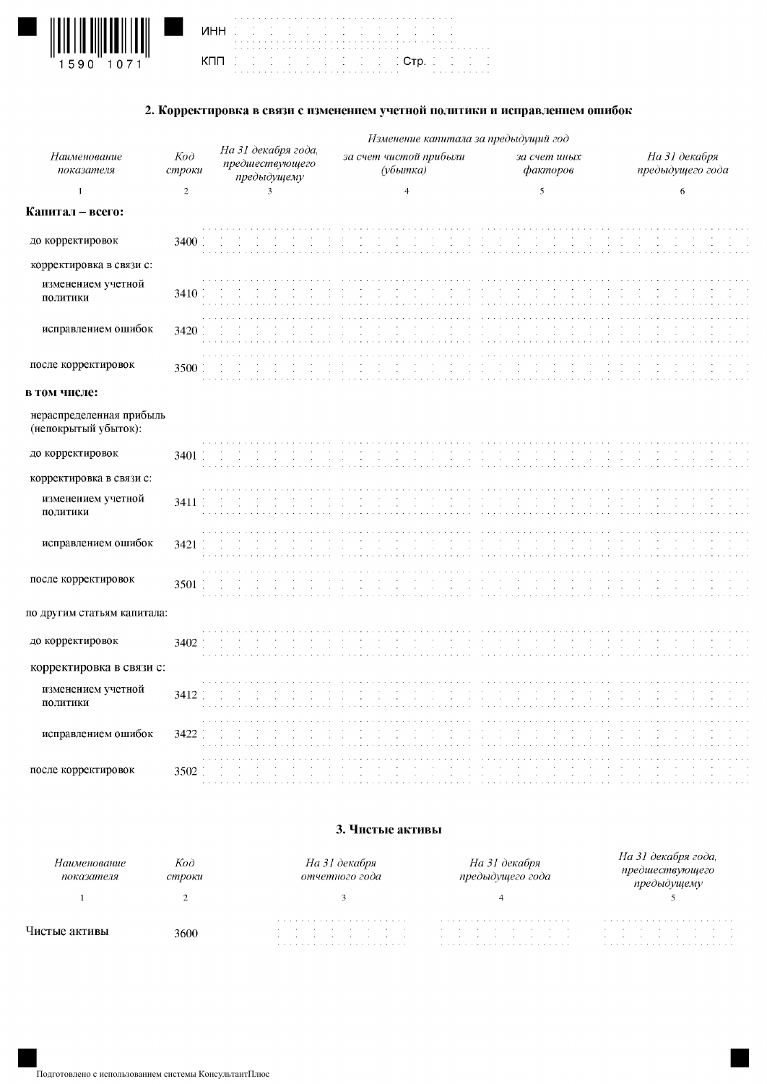

| the contract of the contract of the contract of the contract of the contract of the contract of |                                                                                                                                                                                                                               |  |  |  |  |  |  |  |  |  |  |  |  |  |                                        |  |  |  |  |                             |  |  |
|-------------------------------------------------------------------------------------------------|-------------------------------------------------------------------------------------------------------------------------------------------------------------------------------------------------------------------------------|--|--|--|--|--|--|--|--|--|--|--|--|--|----------------------------------------|--|--|--|--|-----------------------------|--|--|
| the contract of the contract of the contract of the contract of the contract of the contract of |                                                                                                                                                                                                                               |  |  |  |  |  |  |  |  |  |  |  |  |  |                                        |  |  |  |  |                             |  |  |
|                                                                                                 |                                                                                                                                                                                                                               |  |  |  |  |  |  |  |  |  |  |  |  |  |                                        |  |  |  |  |                             |  |  |
|                                                                                                 |                                                                                                                                                                                                                               |  |  |  |  |  |  |  |  |  |  |  |  |  |                                        |  |  |  |  |                             |  |  |
|                                                                                                 |                                                                                                                                                                                                                               |  |  |  |  |  |  |  |  |  |  |  |  |  | de de de de de de de de di <b>orp.</b> |  |  |  |  | and the control of the con- |  |  |
|                                                                                                 |                                                                                                                                                                                                                               |  |  |  |  |  |  |  |  |  |  |  |  |  |                                        |  |  |  |  | <b>Contractor</b>           |  |  |
|                                                                                                 | a constitution of the constitution of the constitution of the constitution of the constitution of the constitution of the constitution of the constitution of the constitution of the constitution of the constitution of the |  |  |  |  |  |  |  |  |  |  |  |  |  |                                        |  |  |  |  |                             |  |  |

### 2. Корректировка в связи с изменением учетной политики и исправлением ошибок

|                                                  |               |                                                       | Изменение капитала за предыдущий год |                          |                                   |
|--------------------------------------------------|---------------|-------------------------------------------------------|--------------------------------------|--------------------------|-----------------------------------|
| Наименование<br>показателя                       | Kod<br>строки | На 31 декабря года,<br>предшествующего<br>предыдущему | за счет чистой прибыли<br>(убытка)   | за счет иных<br>факторов | На 31 декабря<br>предыдущего года |
| $\mathbf 1$                                      | $\sqrt{2}$    | $\ensuremath{\mathbf{3}}$                             | $\overline{4}$                       | $\mathfrak s$            | 6                                 |
| Капитал - всего:                                 |               |                                                       |                                      |                          |                                   |
| до корректировок                                 | 3400          |                                                       |                                      |                          |                                   |
| корректировка в связи с:                         |               |                                                       |                                      |                          |                                   |
| изменением учетной<br>политики                   | 3410          |                                                       |                                      |                          |                                   |
| исправлением ошибок                              | 3420          |                                                       |                                      |                          |                                   |
| после корректировок                              | 3500          |                                                       |                                      |                          |                                   |
| в том числе:                                     |               |                                                       |                                      |                          |                                   |
| нераспределенная прибыль<br>(непокрытый убыток): |               |                                                       |                                      |                          |                                   |
| до корректировок                                 | 3401          | $\alpha$                                              |                                      |                          |                                   |
| корректировка в связи с:                         |               |                                                       |                                      |                          |                                   |
| изменением учетной<br>политики                   | 3411          |                                                       |                                      |                          |                                   |
| исправлением ошибок                              | 3421          |                                                       |                                      |                          |                                   |
| после корректировок                              | 3501          |                                                       |                                      |                          |                                   |
| по другим статьям капитала:                      |               |                                                       |                                      |                          |                                   |
| до корректировок                                 | 3402          |                                                       |                                      |                          |                                   |
| корректировка в связи с:                         |               |                                                       |                                      |                          |                                   |
| изменением учетной<br>политики                   | 3412          |                                                       |                                      |                          |                                   |
| исправлением ошибок                              | 3422          |                                                       |                                      |                          |                                   |
| после корректировок                              | 3502          |                                                       |                                      |                          |                                   |

#### 3. Чистые активы

| Наименование<br>показателя | Код<br>строки | На 31 декабря<br>отчетного года                       | На 31 декабря<br>предыдушего года   | ря года. |
|----------------------------|---------------|-------------------------------------------------------|-------------------------------------|----------|
|                            |               |                                                       |                                     |          |
|                            | 3600          | <b>Service</b><br>the contract of the contract of the | the contract of the contract of the |          |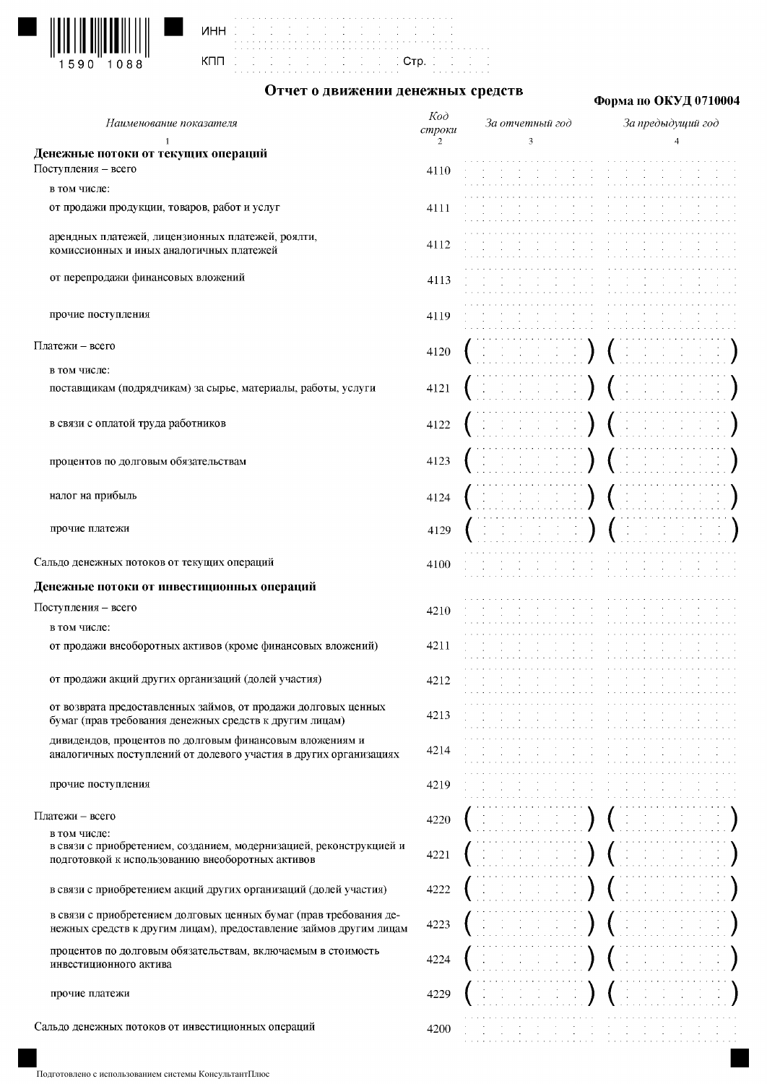



Отчет о движении денежных средств

Стр.

## Форма по ОКУД 0710004

| Наименование показателя                                                                                                 | Koð<br>строки | За отчетный год                                 | За предыдущий год |
|-------------------------------------------------------------------------------------------------------------------------|---------------|-------------------------------------------------|-------------------|
|                                                                                                                         | 2             | 3                                               |                   |
| Денежные потоки от текущих операций                                                                                     |               |                                                 |                   |
| Поступления - всего                                                                                                     | 4110          |                                                 |                   |
| в том числе:                                                                                                            |               |                                                 |                   |
| от продажи продукции, товаров, работ и услуг                                                                            | 4111          |                                                 |                   |
| арендных платежей, лицензионных платежей, роялти,                                                                       |               |                                                 |                   |
| комиссионных и иных аналогичных платежей                                                                                | 4112          |                                                 |                   |
| от перепродажи финансовых вложений                                                                                      |               |                                                 |                   |
|                                                                                                                         | 4113          |                                                 |                   |
| прочие поступления                                                                                                      | 4119          |                                                 |                   |
|                                                                                                                         |               |                                                 |                   |
| Платежи - всего                                                                                                         | 4120          | $\mathcal{L}^{\mathcal{L}}$<br>$\sim$           |                   |
| в том числе:                                                                                                            |               |                                                 |                   |
| поставщикам (подрядчикам) за сырье, материалы, работы, услуги                                                           | 4121          | $\rightarrow$                                   |                   |
|                                                                                                                         |               |                                                 |                   |
| в связи с оплатой труда работников                                                                                      | 4122          |                                                 |                   |
|                                                                                                                         |               |                                                 |                   |
| процентов по долговым обязательствам                                                                                    | 4123          |                                                 |                   |
|                                                                                                                         |               |                                                 |                   |
| налог на прибыль                                                                                                        | 4124          |                                                 |                   |
|                                                                                                                         |               |                                                 |                   |
| прочие платежи                                                                                                          | 4129          |                                                 |                   |
|                                                                                                                         |               |                                                 |                   |
| Сальдо денежных потоков от текущих операций                                                                             | 4100          |                                                 |                   |
| Денежные потоки от инвестиционных операций                                                                              |               |                                                 |                   |
| Поступления - всего                                                                                                     | 4210          |                                                 |                   |
| в том числе:                                                                                                            |               |                                                 |                   |
| от продажи внеоборотных активов (кроме финансовых вложений)                                                             | 4211          |                                                 |                   |
|                                                                                                                         |               |                                                 |                   |
| от продажи акций других организаций (долей участия)                                                                     | 4212          |                                                 |                   |
| от возврата предоставленных займов, от продажи долговых ценных                                                          |               |                                                 |                   |
| бумаг (прав требования денежных средств к другим лицам)                                                                 | 4213          |                                                 |                   |
| дивидендов, процентов по долговым финансовым вложениям и                                                                |               |                                                 |                   |
| аналогичных поступлений от долевого участия в других организациях                                                       | 4214          |                                                 |                   |
| прочие поступления                                                                                                      | 4219          |                                                 |                   |
|                                                                                                                         |               |                                                 |                   |
| Платежи - всего                                                                                                         | 4220          |                                                 |                   |
| в том числе:                                                                                                            |               |                                                 |                   |
| в связи с приобретением, созданием, модернизацией, реконструкцией и<br>подготовкой к использованию внеоборотных активов | 4221          |                                                 |                   |
|                                                                                                                         |               |                                                 |                   |
| в связи с приобретением акций других организаций (долей участия)                                                        | 4222          | $\left( \begin{array}{c} 1 \end{array} \right)$ |                   |
| в связи с приобретением долговых ценных бумаг (прав требования де-                                                      |               |                                                 |                   |
| нежных средств к другим лицам), предоставление займов другим лицам                                                      | 4223          |                                                 |                   |
| процентов по долговым обязательствам, включаемым в стоимость                                                            |               |                                                 |                   |
| инвестиционного актива                                                                                                  | 4224          |                                                 |                   |
|                                                                                                                         |               |                                                 |                   |
| прочие платежи                                                                                                          | 4229          |                                                 |                   |
| Сальдо денежных потоков от инвестиционных операций                                                                      | 4200          |                                                 |                   |
|                                                                                                                         |               |                                                 |                   |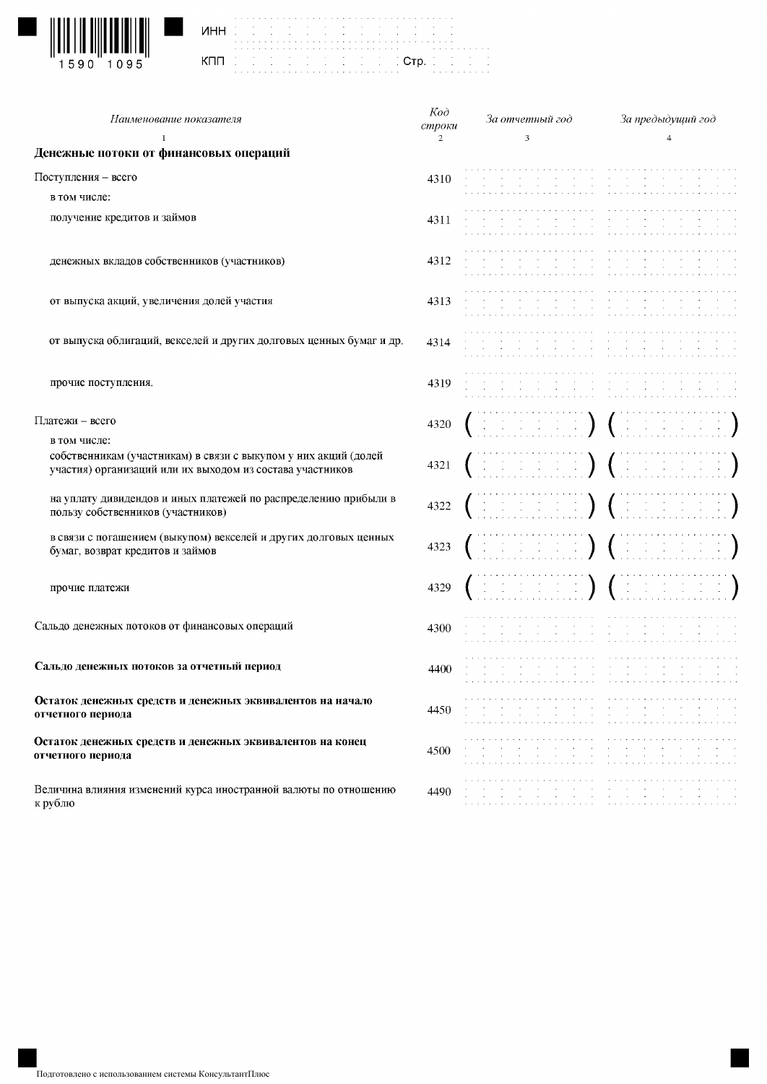

|     |    |  | ï |  |  |
|-----|----|--|---|--|--|
| инн |    |  |   |  |  |
|     |    |  |   |  |  |
|     |    |  |   |  |  |
| кпп |    |  | ć |  |  |
|     | i. |  | ï |  |  |
|     |    |  |   |  |  |

| Наименование показателя                                                                                                                      | $K$ od<br>строки | За отчетный год                                                                                                                                                                                                                 | За предыдущий год                                                                                                                                                                                                                                                                                                                                       |
|----------------------------------------------------------------------------------------------------------------------------------------------|------------------|---------------------------------------------------------------------------------------------------------------------------------------------------------------------------------------------------------------------------------|---------------------------------------------------------------------------------------------------------------------------------------------------------------------------------------------------------------------------------------------------------------------------------------------------------------------------------------------------------|
| 1<br>Денежные потоки от финансовых операций                                                                                                  | 2                | 3                                                                                                                                                                                                                               | $\overline{4}$                                                                                                                                                                                                                                                                                                                                          |
| Поступления - всего                                                                                                                          | 4310             |                                                                                                                                                                                                                                 |                                                                                                                                                                                                                                                                                                                                                         |
| в том числе:                                                                                                                                 |                  |                                                                                                                                                                                                                                 |                                                                                                                                                                                                                                                                                                                                                         |
| получение кредитов и займов                                                                                                                  | 4311             |                                                                                                                                                                                                                                 |                                                                                                                                                                                                                                                                                                                                                         |
| денежных вкладов собственников (участников)                                                                                                  | 4312             |                                                                                                                                                                                                                                 |                                                                                                                                                                                                                                                                                                                                                         |
| от выпуска акций, увеличения долей участия                                                                                                   | 4313             |                                                                                                                                                                                                                                 |                                                                                                                                                                                                                                                                                                                                                         |
| от выпуска облигаций, векселей и других долговых ценных бумаг и др.                                                                          | 4314             |                                                                                                                                                                                                                                 |                                                                                                                                                                                                                                                                                                                                                         |
| прочие поступления.                                                                                                                          | 4319             |                                                                                                                                                                                                                                 |                                                                                                                                                                                                                                                                                                                                                         |
| Платежи - всего                                                                                                                              | 4320             | den maria (den                                                                                                                                                                                                                  |                                                                                                                                                                                                                                                                                                                                                         |
| в том числе:<br>собственникам (участникам) в связи с выкупом у них акций (долей<br>участия) организаций или их выходом из состава участников | 4321             |                                                                                                                                                                                                                                 | ENERGY (HENRICH)                                                                                                                                                                                                                                                                                                                                        |
| на уплату дивидендов и иных платежей по распределению прибыли в<br>пользу собственников (участников)                                         | 4322             | $($ in the form $)$ $($ in the form                                                                                                                                                                                             |                                                                                                                                                                                                                                                                                                                                                         |
| в связи с погашением (выкупом) векселей и других долговых ценных<br>бумаг, возврат кредитов и займов                                         | 4323             |                                                                                                                                                                                                                                 | rana rang (rana ran                                                                                                                                                                                                                                                                                                                                     |
| прочие платежи                                                                                                                               | 4329             |                                                                                                                                                                                                                                 |                                                                                                                                                                                                                                                                                                                                                         |
| Сальдо денежных потоков от финансовых операций                                                                                               | 4300             |                                                                                                                                                                                                                                 |                                                                                                                                                                                                                                                                                                                                                         |
| Сальдо денежных потоков за отчетный период                                                                                                   | 4400-            |                                                                                                                                                                                                                                 |                                                                                                                                                                                                                                                                                                                                                         |
| Остаток денежных средств и денежных эквивалентов на начало<br>отчетного периода                                                              | 4450-            | de la capital de la capital de la capital de la capital de la capital<br>the contract of the contract of the contract of the contract of the<br>the contract of the contract of the contract of the contract of the contract of | the company of the company of the company of the company of the company of the company of the company of the company of the company of the company of the company of the company of the company of the company of the company<br>the contract of the contract of the contract of the                                                                    |
| Остаток денежных средств и денежных эквивалентов на конец<br>отчетного периода                                                               | 4500             | the context of the context.<br><b>Contractor</b><br>and the control of the control of the control of the                                                                                                                        | $\sim$<br>$\sim$<br>$\sim 10^{-1}$<br>$\sim$<br>$\sim 100$ km s $^{-1}$<br>$\sim 10^{-1}$<br>$\sim 10^{-1}$<br>$\sim$<br>the contract of the contract of the contract of the contract of the contract of the contract of the contract of the contract of the contract of the contract of the contract of the contract of the contract of the contract o |
| Величина влияния изменений курса иностранной валюты по отношению<br>к рублю                                                                  | 4490             | the contract of the contract of the contract of the contract of the contract of the contract of the<br>and the contract of the contract of the contract of the contract of the contract of the                                  |                                                                                                                                                                                                                                                                                                                                                         |